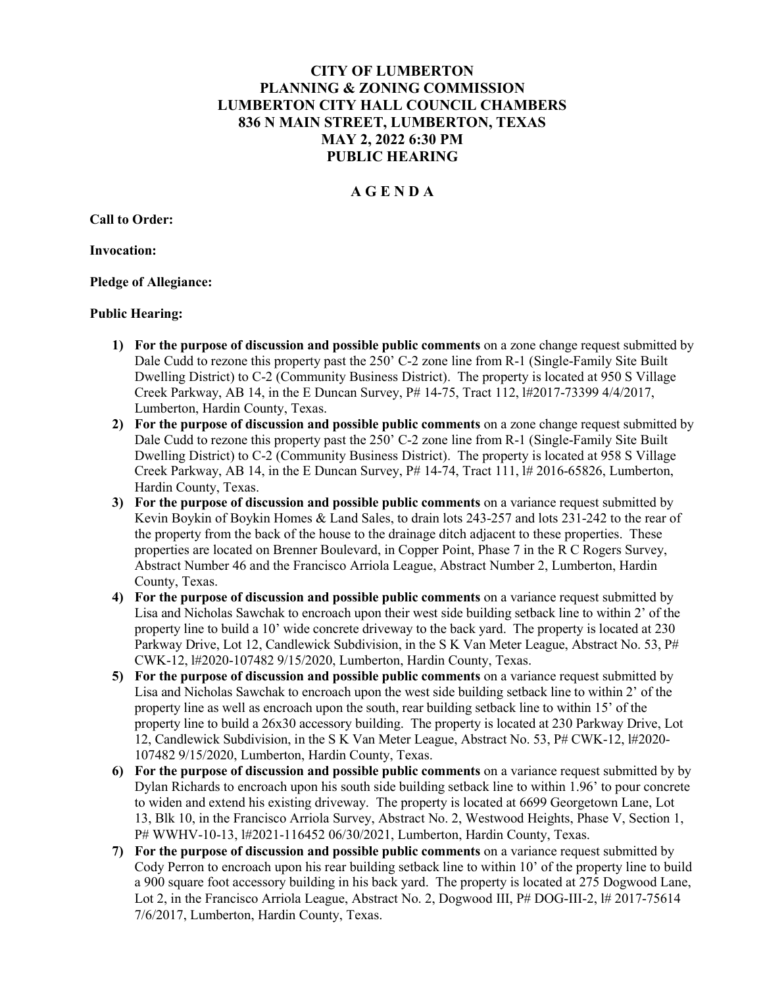# CITY OF LUMBERTON PLANNING & ZONING COMMISSION LUMBERTON CITY HALL COUNCIL CHAMBERS 836 N MAIN STREET, LUMBERTON, TEXAS MAY 2, 2022 6:30 PM PUBLIC HEARING

## A G E N D A

Call to Order:

Invocation:

Pledge of Allegiance:

#### Public Hearing:

- 1) For the purpose of discussion and possible public comments on a zone change request submitted by Dale Cudd to rezone this property past the 250' C-2 zone line from R-1 (Single-Family Site Built Dwelling District) to C-2 (Community Business District). The property is located at 950 S Village Creek Parkway, AB 14, in the E Duncan Survey, P# 14-75, Tract 112, l#2017-73399 4/4/2017, Lumberton, Hardin County, Texas.
- 2) For the purpose of discussion and possible public comments on a zone change request submitted by Dale Cudd to rezone this property past the 250' C-2 zone line from R-1 (Single-Family Site Built Dwelling District) to C-2 (Community Business District). The property is located at 958 S Village Creek Parkway, AB 14, in the E Duncan Survey,  $P# 14-74$ , Tract 111,  $H# 2016-65826$ , Lumberton, Hardin County, Texas.
- 3) For the purpose of discussion and possible public comments on a variance request submitted by Kevin Boykin of Boykin Homes & Land Sales, to drain lots 243-257 and lots 231-242 to the rear of the property from the back of the house to the drainage ditch adjacent to these properties. These properties are located on Brenner Boulevard, in Copper Point, Phase 7 in the R C Rogers Survey, Abstract Number 46 and the Francisco Arriola League, Abstract Number 2, Lumberton, Hardin County, Texas.
- 4) For the purpose of discussion and possible public comments on a variance request submitted by Lisa and Nicholas Sawchak to encroach upon their west side building setback line to within 2' of the property line to build a 10' wide concrete driveway to the back yard. The property is located at 230 Parkway Drive, Lot 12, Candlewick Subdivision, in the S K Van Meter League, Abstract No. 53, P# CWK-12, l#2020-107482 9/15/2020, Lumberton, Hardin County, Texas.
- 5) For the purpose of discussion and possible public comments on a variance request submitted by Lisa and Nicholas Sawchak to encroach upon the west side building setback line to within 2' of the property line as well as encroach upon the south, rear building setback line to within 15' of the property line to build a 26x30 accessory building. The property is located at 230 Parkway Drive, Lot 12, Candlewick Subdivision, in the S K Van Meter League, Abstract No. 53, P# CWK-12, l#2020- 107482 9/15/2020, Lumberton, Hardin County, Texas.
- 6) For the purpose of discussion and possible public comments on a variance request submitted by by Dylan Richards to encroach upon his south side building setback line to within 1.96' to pour concrete to widen and extend his existing driveway. The property is located at 6699 Georgetown Lane, Lot 13, Blk 10, in the Francisco Arriola Survey, Abstract No. 2, Westwood Heights, Phase V, Section 1, P# WWHV-10-13, l#2021-116452 06/30/2021, Lumberton, Hardin County, Texas.
- 7) For the purpose of discussion and possible public comments on a variance request submitted by Cody Perron to encroach upon his rear building setback line to within 10' of the property line to build a 900 square foot accessory building in his back yard. The property is located at 275 Dogwood Lane, Lot 2, in the Francisco Arriola League, Abstract No. 2, Dogwood III, P# DOG-III-2, 1# 2017-75614 7/6/2017, Lumberton, Hardin County, Texas.